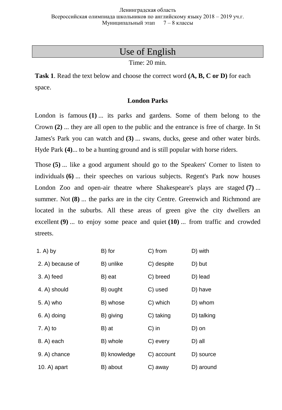# Use of English

Time: 20 min.

**Task 1**. Read the text below and choose the correct word **(A, B, C or D)** for each space.

# **London Parks**

London is famous **(1)** ... its parks and gardens. Some of them belong to the Crown **(2)** ... they are all open to the public and the entrance is free of charge. In St James's Park you can watch and **(3)** ... swans, ducks, geese and other water birds. Hyde Park **(4)**... to be a hunting ground and is still popular with horse riders.

Those **(5)** ... like a good argument should go to the Speakers' Corner to listen to individuals **(6)** ... their speeches on various subjects. Regent's Park now houses London Zoo and open-air theatre where Shakespeare's plays are staged **(7)** ... summer. Not **(8)** ... the parks are in the city Centre. Greenwich and Richmond are located in the suburbs. All these areas of green give the city dwellers an excellent **(9)** ... to enjoy some peace and quiet **(10)** ... from traffic and crowded streets.

| 1. A) by         | B) for       | C) from    | D) with    |
|------------------|--------------|------------|------------|
| 2. A) because of | B) unlike    | C) despite | D) but     |
| $3. A)$ feed     | B) eat       | C) breed   | D) lead    |
| 4. A) should     | B) ought     | C) used    | D) have    |
| 5. A) who        | B) whose     | C) which   | D) whom    |
| 6. A) doing      | B) giving    | C) taking  | D) talking |
| $7. A)$ to       | B) at        | $C)$ in    | D) on      |
| 8. A) each       | B) whole     | C) every   | D) all     |
| 9. A) chance     | B) knowledge | C) account | D) source  |
| $10. A)$ apart   | B) about     | C) away    | D) around  |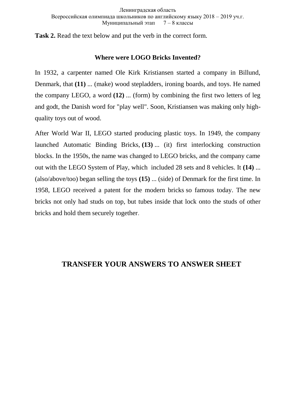**Task 2.** Read the text below and put the verb in the correct form.

## **Where were LOGO Bricks Invented?**

In 1932, a carpenter named Ole Kirk Kristiansen started a company in Billund, Denmark, that **(11)** ... (make) wood stepladders, ironing boards, and toys. He named the company LEGO, a word **(12)** ... (form) by combining the first two letters of leg and godt, the Danish word for "play well". Soon, Kristiansen was making only highquality toys out of wood.

After World War II, LEGO started producing plastic toys. In 1949, the company launched Automatic Binding Bricks, **(13)** ... (it) first interlocking construction blocks. In the 1950s, the name was changed to LEGO bricks, and the company came out with the LEGO System of Play, which included 28 sets and 8 vehicles. It **(14)** ... (also/above/too) began selling the toys **(15)** ... (side) of Denmark for the first time. In 1958, LEGO received a patent for the modern bricks so famous today. The new bricks not only had studs on top, but tubes inside that lock onto the studs of other bricks and hold them securely together.

# **TRANSFER YOUR ANSWERS TO ANSWER SHEET**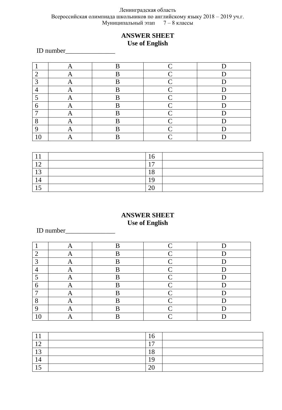#### Ленинградская область Всероссийская олимпиада школьников по английскому языку 2018 – 2019 уч.г. Муниципальный этап 7 – 8 классы

# **ANSWER SHEET Use of English**

ID number\_\_\_\_\_\_\_\_\_\_\_\_\_\_\_

|                |     | B            | ⌒                        |   |
|----------------|-----|--------------|--------------------------|---|
| ി<br>↵         |     | $\mathbf{R}$ | $\curvearrowright$       |   |
| 3              |     | B            | $\overline{\phantom{1}}$ |   |
| $\overline{4}$ |     | <sub>R</sub> | $\sim$                   | r |
|                |     | D            | $\curvearrowright$       | г |
| 6              | 1 Y | R            | $\widehat{\phantom{a}}$  |   |
| ⇁              |     | B            | ⌒                        |   |
| 8              |     | D<br>n       | $\widehat{\phantom{a}}$  |   |
| 9              |     | D            | ⌒                        |   |
| τc             |     |              |                          |   |

|            | 10                   |  |
|------------|----------------------|--|
|            | $\overline{1}$       |  |
| $\sqrt{2}$ | 1 O<br>10            |  |
|            | 1 Q                  |  |
|            | $\overline{C}$<br>∠∪ |  |

## **ANSWER SHEET Use of English**

# ID number\_\_\_\_\_\_\_\_\_\_\_\_\_\_\_

|               |              | D       | $\curvearrowright$ |   |
|---------------|--------------|---------|--------------------|---|
| ി             |              | D       | $\sim$             | r |
| $\mathcal{D}$ | 71           | D       | $\sim$             | r |
| ┱             | $\sqrt{2}$   | D       | $\sim$             |   |
| ┍             |              | D       | $\sim$             | r |
| 6             | $\mathbf{I}$ | D       | $\curvearrowright$ | ∽ |
|               | $\mathbf{A}$ | D<br>IJ |                    |   |
| $\Omega$      | 1 Y          | D       | $\curvearrowright$ |   |
| ∩             |              | ה       | ⌒                  |   |
| 1 U           |              | D       |                    |   |

|                          | 10             |  |
|--------------------------|----------------|--|
| $\overline{\phantom{0}}$ | $\overline{ }$ |  |
| ר ו                      | 1 O<br>10      |  |
| 14                       | 1 <sub>O</sub> |  |
| -<br>. L.J               | 20             |  |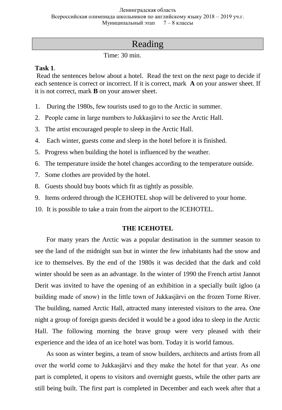# Reading

Time: 30 min.

### **Task 1**.

Read the sentences below about a hotel. Read the text on the next page to decide if each sentence is correct or incorrect. If it is correct, mark **A** on your answer sheet. If it is not correct, mark **B** on your answer sheet.

- 1. During the 1980s, few tourists used to go to the Arctic in summer.
- 2. People came in large numbers to Jukkasjärvi to see the Arctic Hall.
- 3. The artist encouraged people to sleep in the Arctic Hall.
- 4. Each winter, guests come and sleep in the hotel before it is finished.
- 5. Progress when building the hotel is influenced by the weather.
- 6. The temperature inside the hotel changes according to the temperature outside.
- 7. Some clothes are provided by the hotel.
- 8. Guests should buy boots which fit as tightly as possible.
- 9. Items ordered through the ICEHOTEL shop will be delivered to your home.
- 10. It is possible to take a train from the airport to the ICEHOTEL.

## **THE ICEHOTEL**

 For many years the Arctic was a popular destination in the summer season to see the land of the midnight sun but in winter the few inhabitants had the snow and ice to themselves. By the end of the 1980s it was decided that the dark and cold winter should be seen as an advantage. In the winter of 1990 the French artist Jannot Derit was invited to have the opening of an exhibition in a specially built igloo (a building made of snow) in the little town of Jukkasjärvi on the frozen Torne River. The building, named Arctic Hall, attracted many interested visitors to the area. One night a group of foreign guests decided it would be a good idea to sleep in the Arctic Hall. The following morning the brave group were very pleased with their experience and the idea of an ice hotel was born. Today it is world famous.

 As soon as winter begins, a team of snow builders, architects and artists from all over the world come to Jukkasjärvi and they make the hotel for that year. As one part is completed, it opens to visitors and overnight guests, while the other parts are still being built. The first part is completed in December and each week after that a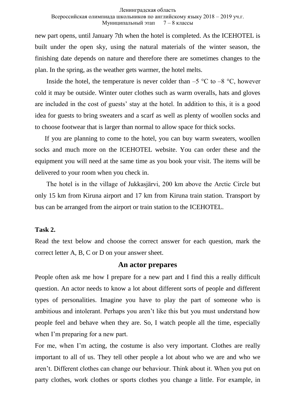#### Ленинградская область

#### Всероссийская олимпиада школьников по английскому языку 2018 – 2019 уч.г. Муниципальный этап 7 – 8 классы

new part opens, until January 7th when the hotel is completed. As the ICEHOTEL is built under the open sky, using the natural materials of the winter season, the finishing date depends on nature and therefore there are sometimes changes to the plan. In the spring, as the weather gets warmer, the hotel melts.

Inside the hotel, the temperature is never colder than  $-5$  °C to  $-8$  °C, however cold it may be outside. Winter outer clothes such as warm overalls, hats and gloves are included in the cost of guests' stay at the hotel. In addition to this, it is a good idea for guests to bring sweaters and a scarf as well as plenty of woollen socks and to choose footwear that is larger than normal to allow space for thick socks.

 If you are planning to come to the hotel, you can buy warm sweaters, woollen socks and much more on the ICEHOTEL website. You can order these and the equipment you will need at the same time as you book your visit. The items will be delivered to your room when you check in.

 The hotel is in the village of Jukkasjärvi, 200 km above the Arctic Circle but only 15 km from Kiruna airport and 17 km from Kiruna train station. Transport by bus can be arranged from the airport or train station to the ICEHOTEL.

### **Task 2.**

Read the text below and choose the correct answer for each question, mark the correct letter A, B, C or D on your answer sheet.

#### **An actor prepares**

People often ask me how I prepare for a new part and I find this a really difficult question. An actor needs to know a lot about different sorts of people and different types of personalities. Imagine you have to play the part of someone who is ambitious and intolerant. Perhaps you aren't like this but you must understand how people feel and behave when they are. So, I watch people all the time, especially when I'm preparing for a new part.

For me, when I'm acting, the costume is also very important. Clothes are really important to all of us. They tell other people a lot about who we are and who we aren't. Different clothes can change our behaviour. Think about it. When you put on party clothes, work clothes or sports clothes you change a little. For example, in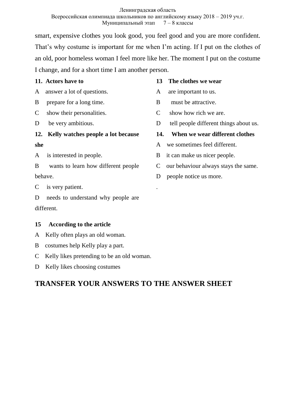smart, expensive clothes you look good, you feel good and you are more confident. That's why costume is important for me when I'm acting. If I put on the clothes of an old, poor homeless woman I feel more like her. The moment I put on the costume I change, and for a short time I am another person.

**11. Actors have to**

A answer a lot of questions.

- B prepare for a long time.
- C show their personalities.
- D be very ambitious.

### **12. Kelly watches people a lot because**

### **she**

- A is interested in people.
- B wants to learn how different people behave.

C is very patient.

D needs to understand why people are different.

## **15 According to the article**

- A Kelly often plays an old woman.
- B costumes help Kelly play a part.
- C Kelly likes pretending to be an old woman.
- D Kelly likes choosing costumes

# **TRANSFER YOUR ANSWERS TO THE ANSWER SHEET**

### **13 The clothes we wear**

- A are important to us.
- B must be attractive.
- C show how rich we are.
- D tell people different things about us.

## **14. When we wear different clothes**

- A we sometimes feel different.
- B it can make us nicer people.
- C our behaviour always stays the same.
- D people notice us more.

.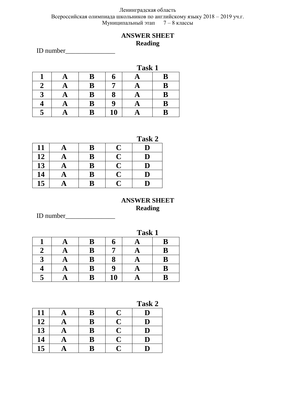#### Ленинградская область Всероссийская олимпиада школьников по английскому языку 2018 – 2019 уч.г. Муниципальный этап 7 – 8 классы

# **ANSWER SHEET Reading**

ID number\_\_\_\_\_\_\_\_\_\_\_\_\_\_\_

|  |   |    | Task 1 |   |
|--|---|----|--------|---|
|  | B |    |        | B |
|  | B |    |        | B |
|  | B |    |        | B |
|  | B |    |        | B |
|  | B | 10 |        |   |

| SI<br>.,<br>σ<br>٠<br>ĸ |
|-------------------------|
|-------------------------|

| 11 | $\mathbf{A}$ | B        | C                       | D         |
|----|--------------|----------|-------------------------|-----------|
| 12 | $\mathbf{A}$ | $\bf B$  | $\overline{\mathbf{C}}$ | D         |
| 13 | $\mathbf{A}$ | $\bf{B}$ | $\overline{\mathbf{C}}$ | D         |
| 14 | Æ            | $\bf{B}$ | Ć                       | ${\bf D}$ |
| 15 |              | B        | $\mathbf C$             | D         |

# **ANSWER SHEET Reading**

ID number\_\_\_\_\_\_\_\_\_\_\_\_\_\_\_

|           |   |    | Task 1 |   |
|-----------|---|----|--------|---|
|           | B |    |        | B |
|           | B |    |        | B |
| $\bullet$ | B |    |        | B |
|           | B | q  |        | B |
|           | B | 10 |        | B |

**Task 2**

|    |          |                         |                         | $- - - -$   |
|----|----------|-------------------------|-------------------------|-------------|
| 11 |          | B                       | $\mathbf C$             | D           |
| 12 | $\Delta$ | B                       | $\mathbf C$             | D           |
| 13 | A        | B                       | $\mathbf C$             | $\mathbf D$ |
| 14 | A        | B                       | $\overline{\mathbf{C}}$ | $\mathbf D$ |
| 15 |          | $\overline{\mathbf{B}}$ | C                       | D           |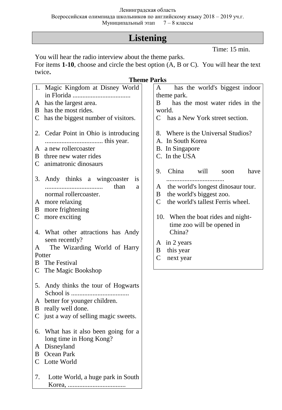#### Ленинградская область

Всероссийская олимпиада школьников по английскому языку 2018 – 2019 уч.г.<br>Муниципальный этап 7 – 8 классы Муниципальный этап

# **Listening**

Time: 15 min.

You will hear the radio interview about the theme parks.

For items **1-10**, choose and circle the best option (A, B or C). You will hear the text twice**.**

|               |                                                                                    | <b>Theme Parks</b>                                                                          |
|---------------|------------------------------------------------------------------------------------|---------------------------------------------------------------------------------------------|
|               | 1. Magic Kingdom at Disney World                                                   | has the world's biggest indoor<br>A                                                         |
|               |                                                                                    | theme park.                                                                                 |
| A             | has the largest area.                                                              | has the most water rides in the<br>B                                                        |
| B.            | has the most rides.                                                                | world.                                                                                      |
| C             | has the biggest number of visitors.                                                | has a New York street section.<br>$\mathcal{C}_{\mathcal{C}}$                               |
| 2.<br>A<br>B. | Cedar Point in Ohio is introducing<br>a new rollercoaster<br>three new water rides | 8. Where is the Universal Studios?<br>A. In South Korea<br>B. In Singapore<br>C. In the USA |
|               |                                                                                    |                                                                                             |
| C             | animatronic dinosaurs                                                              | China will<br>9.<br>have<br>soon                                                            |
| 3.            | Andy thinks a wingcoaster<br><b>1S</b><br>than<br>a<br>normal rollercoaster.       | the world's longest dinosaur tour.<br>A<br>the world's biggest zoo.<br>B                    |
|               | A more relaxing                                                                    | the world's tallest Ferris wheel.<br>$\mathcal{C}$                                          |
|               | B more frightening                                                                 |                                                                                             |
| $\mathsf{C}$  | more exciting                                                                      | 10. When the boat rides and night-<br>time zoo will be opened in<br>China?                  |
|               | 4. What other attractions has Andy<br>seen recently?                               |                                                                                             |
| A             | The Wizarding World of Harry                                                       | in 2 years<br>A                                                                             |
|               | Potter                                                                             | this year<br>B                                                                              |
| B             | The Festival                                                                       | next year<br>$\mathsf{C}$                                                                   |
|               | C The Magic Bookshop                                                               |                                                                                             |
|               | 5. Andy thinks the tour of Hogwarts                                                |                                                                                             |
|               |                                                                                    |                                                                                             |
| A             | better for younger children.                                                       |                                                                                             |
| B             | really well done.                                                                  |                                                                                             |
| C             | just a way of selling magic sweets.                                                |                                                                                             |
| 6.            | What has it also been going for a<br>long time in Hong Kong?                       |                                                                                             |
| A             | Disneyland                                                                         |                                                                                             |
| B             | Ocean Park                                                                         |                                                                                             |
| C             | Lotte World                                                                        |                                                                                             |
| 7.            | Lotte World, a huge park in South                                                  |                                                                                             |
|               |                                                                                    |                                                                                             |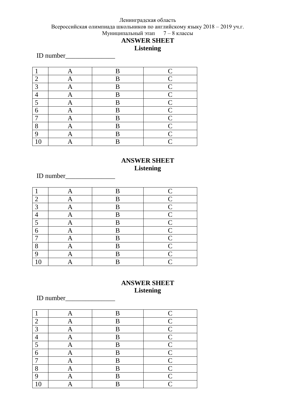#### Ленинградская область Всероссийская олимпиада школьников по английскому языку 2018 – 2019 уч.г. Муниципальный этап 7 – 8 классы **ANSWER SHEET**

# **Listening**

ID number\_\_\_\_\_\_\_\_\_\_\_\_\_\_\_

| $\mathbf{1}$   | A | B | $\mathsf{C}$   |
|----------------|---|---|----------------|
| $\overline{2}$ | A | B | $\overline{C}$ |
| 3              | Α | B | $\mathcal{C}$  |
| 4              | Α | B | $\mathcal{C}$  |
| 5              | Α | B | $\mathsf{C}$   |
| 6              | Α | B | $\mathsf{C}$   |
| 7              | Α | B | $\mathsf{C}$   |
| 8              | Α | B | $\overline{C}$ |
| 9              |   | B | $\overline{C}$ |
| 10             |   | B | $\subset$      |

### **ANSWER SHEET Listening**

ID number\_\_\_\_\_\_\_\_\_\_\_\_\_\_\_

|                | Α            | В | C              |
|----------------|--------------|---|----------------|
| 2              | A            | B | $\mathcal{C}$  |
| 3              | $\mathsf{A}$ | B | $\mathsf{C}$   |
| $\overline{4}$ | A            | B | $\overline{C}$ |
| 5              | A            | B | $\overline{C}$ |
| 6              | A            | B | $\mathsf{C}$   |
| ⇁              | A            | B | $\overline{C}$ |
| 8              | Α            | B | $\overline{C}$ |
| 9              | Α            | B | $\mathbf C$    |
| 10             |              | B | $\mathsf{C}$   |

# **ANSWER SHEET Listening**

# ID number\_\_\_\_\_\_\_\_\_\_\_\_\_\_\_

|    | Α | B | $\mathbf C$                 |
|----|---|---|-----------------------------|
| 2  | A | B | $\overline{C}$              |
| 3  | A | B | $\mathcal{C}$               |
| ┱  | Α | B | $\overline{C}$              |
| 5  | A | B | $\overline{C}$              |
| 6  | A | B | $\mathsf{C}$                |
| 7  | Α | B | $\mathsf{C}$                |
| 8  | A | B | $\overline{C}$              |
| 9  | Ą | B | $\mathcal{C}_{\mathcal{C}}$ |
| 10 |   | B | $\mathsf{\Gamma}$           |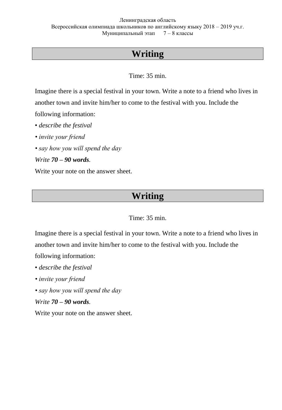# **Writing**

Time: 35 min.

Imagine there is a special festival in your town. Write a note to a friend who lives in another town and invite him/her to come to the festival with you. Include the following information:

- *describe the festival*
- *invite your friend*
- *say how you will spend the day*
- *Write 70 – 90 words.*

Write your note on the answer sheet.

# **Writing**

# Time: 35 min.

Imagine there is a special festival in your town. Write a note to a friend who lives in another town and invite him/her to come to the festival with you. Include the following information:

- *describe the festival*
- *invite your friend*
- *say how you will spend the day*
- *Write 70 – 90 words.*

Write your note on the answer sheet.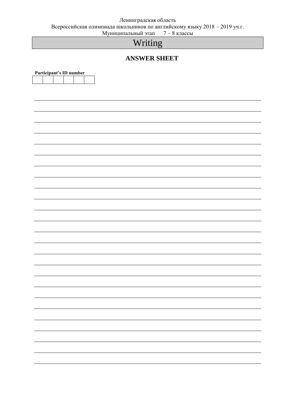# Ленинградская область

Всероссийская олимпиада школьников по английскому языку 2018 – 2019 уч.г.

Муниципальный этап 7 – 8 классы

# Writing

## **ANSWER SHEET**

| Participant's ID number |  |  |
|-------------------------|--|--|
|                         |  |  |
|                         |  |  |
|                         |  |  |
|                         |  |  |
|                         |  |  |
|                         |  |  |
|                         |  |  |
|                         |  |  |
|                         |  |  |
|                         |  |  |
|                         |  |  |
|                         |  |  |
|                         |  |  |
|                         |  |  |
|                         |  |  |
|                         |  |  |
|                         |  |  |
|                         |  |  |
|                         |  |  |
|                         |  |  |
|                         |  |  |
|                         |  |  |
|                         |  |  |
|                         |  |  |
|                         |  |  |
|                         |  |  |
|                         |  |  |
|                         |  |  |
|                         |  |  |
|                         |  |  |
|                         |  |  |
|                         |  |  |
|                         |  |  |
|                         |  |  |
|                         |  |  |
|                         |  |  |
|                         |  |  |
|                         |  |  |
|                         |  |  |
|                         |  |  |
|                         |  |  |
|                         |  |  |
|                         |  |  |
|                         |  |  |